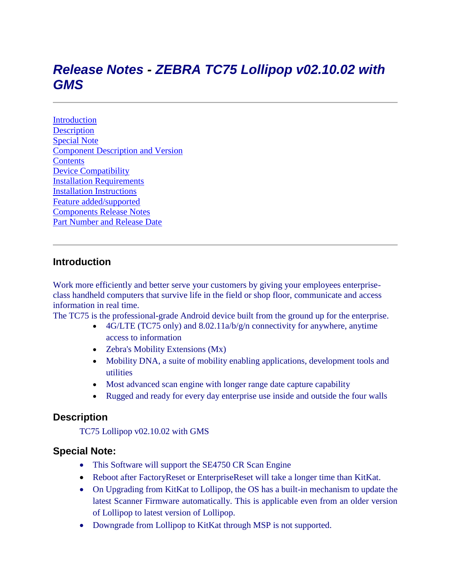# *Release Notes - ZEBRA TC75 Lollipop v02.10.02 with GMS*

**[Introduction](#page-0-0) [Description](#page-0-1)** [Special Note](#page-0-2) [Component Description and Version](#page-0-0) **[Contents](#page-3-0)** [Device Compatibility](#page-3-1) [Installation Requirements](#page-4-0) [Installation Instructions](#page-4-1) [Feature added/supported](#page-10-0) [Components Release Notes](#page-6-0) [Part Number and Release Date](#page-10-0)

#### <span id="page-0-0"></span>**Introduction**

Work more efficiently and better serve your customers by giving your employees enterpriseclass handheld computers that survive life in the field or shop floor, communicate and access information in real time.

The TC75 is the professional-grade Android device built from the ground up for the enterprise.

- 4G/LTE (TC75 only) and 8.02.11a/b/g/n connectivity for anywhere, anytime access to information
- Zebra's Mobility Extensions (Mx)
- Mobility DNA, a suite of mobility enabling applications, development tools and utilities
- Most advanced scan engine with longer range date capture capability
- <span id="page-0-2"></span>• Rugged and ready for every day enterprise use inside and outside the four walls

#### <span id="page-0-1"></span>**Description**

TC75 Lollipop v02.10.02 with GMS

#### **Special Note:**

- This Software will support the SE4750 CR Scan Engine
- Reboot after FactoryReset or EnterpriseReset will take a longer time than KitKat.
- On Upgrading from KitKat to Lollipop, the OS has a built-in mechanism to update the latest Scanner Firmware automatically. This is applicable even from an older version of Lollipop to latest version of Lollipop.
- Downgrade from Lollipop to KitKat through MSP is not supported.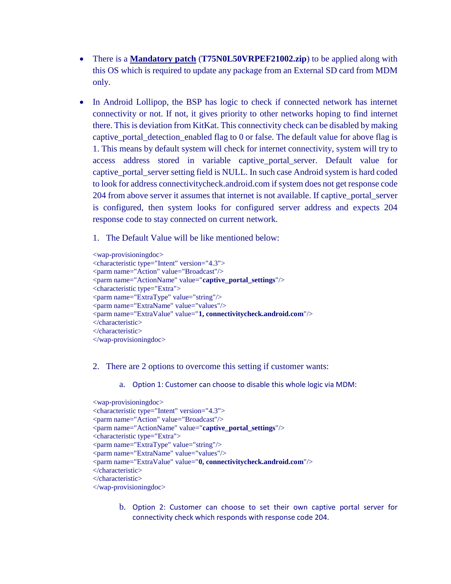- There is a **Mandatory patch** (**T75N0L50VRPEF21002.zip**) to be applied along with this OS which is required to update any package from an External SD card from MDM only.
- In Android Lollipop, the BSP has logic to check if connected network has internet connectivity or not. If not, it gives priority to other networks hoping to find internet there. This is deviation from KitKat. This connectivity check can be disabled by making captive\_portal\_detection\_enabled flag to 0 or false. The default value for above flag is 1. This means by default system will check for internet connectivity, system will try to access address stored in variable captive\_portal\_server. Default value for captive\_portal\_server setting field is NULL. In such case Android system is hard coded to look for address connectivitycheck.android.com if system does not get response code 204 from above server it assumes that internet is not available. If captive\_portal\_server is configured, then system looks for configured server address and expects 204 response code to stay connected on current network.
	- 1. The Default Value will be like mentioned below:

<wap-provisioningdoc> <characteristic type="Intent" version="4.3"> <parm name="Action" value="Broadcast"/> <parm name="ActionName" value="**captive\_portal\_settings**"/> <characteristic type="Extra"> <parm name="ExtraType" value="string"/> <parm name="ExtraName" value="values"/> <parm name="ExtraValue" value="**1, connectivitycheck.android.com**"/> </characteristic> </characteristic> </wap-provisioningdoc>

- 2. There are 2 options to overcome this setting if customer wants:
	- a. Option 1: Customer can choose to disable this whole logic via MDM:

```
<wap-provisioningdoc>
<characteristic type="Intent" version="4.3">
<parm name="Action" value="Broadcast"/>
<parm name="ActionName" value="captive_portal_settings"/>
<characteristic type="Extra">
<parm name="ExtraType" value="string"/>
<parm name="ExtraName" value="values"/>
<parm name="ExtraValue" value="0, connectivitycheck.android.com"/>
</characteristic>
</characteristic>
</wap-provisioningdoc>
```
b. Option 2: Customer can choose to set their own captive portal server for connectivity check which responds with response code 204.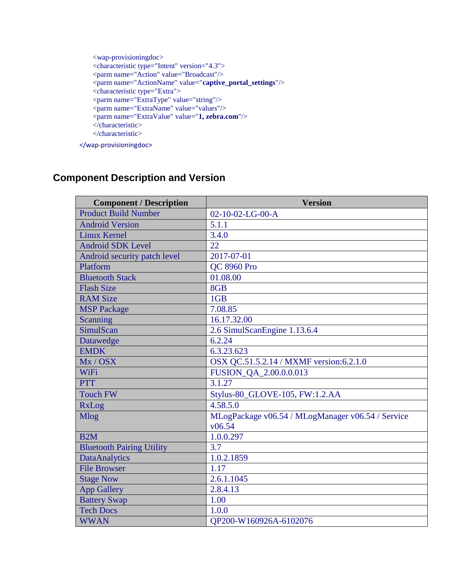```
<wap-provisioningdoc>
<characteristic type="Intent" version="4.3">
<parm name="Action" value="Broadcast"/>
<parm name="ActionName" value="captive_portal_settings"/>
<characteristic type="Extra">
<parm name="ExtraType" value="string"/>
<parm name="ExtraName" value="values"/>
<parm name="ExtraValue" value="1, zebra.com"/>
</characteristic>
</characteristic>
```
</wap-provisioningdoc>

## **Component Description and Version**

| <b>Component / Description</b>   | <b>Version</b>                                              |
|----------------------------------|-------------------------------------------------------------|
| <b>Product Build Number</b>      | $02 - 10 - 02 - LG - 00 - A$                                |
| <b>Android Version</b>           | 5.1.1                                                       |
| <b>Linux Kernel</b>              | 3.4.0                                                       |
| <b>Android SDK Level</b>         | 22                                                          |
| Android security patch level     | 2017-07-01                                                  |
| Platform                         | <b>QC 8960 Pro</b>                                          |
| <b>Bluetooth Stack</b>           | 01.08.00                                                    |
| <b>Flash Size</b>                | 8GB                                                         |
| <b>RAM Size</b>                  | 1GB                                                         |
| <b>MSP Package</b>               | 7.08.85                                                     |
| Scanning                         | 16.17.32.00                                                 |
| SimulScan                        | 2.6 SimulScanEngine 1.13.6.4                                |
| Datawedge                        | 6.2.24                                                      |
| <b>EMDK</b>                      | 6.3.23.623                                                  |
| Mx / OSX                         | OSX QC.51.5.2.14 / MXMF version:6.2.1.0                     |
| WiFi                             | <b>FUSION QA 2.00.0.0.013</b>                               |
| <b>PTT</b>                       | 3.1.27                                                      |
| <b>Touch FW</b>                  | Stylus-80_GLOVE-105, FW:1.2.AA                              |
| RxLog                            | 4.58.5.0                                                    |
| Mlog                             | MLogPackage v06.54 / MLogManager v06.54 / Service<br>v06.54 |
| B2M                              | 1.0.0.297                                                   |
| <b>Bluetooth Pairing Utility</b> | 3.7                                                         |
| <b>DataAnalytics</b>             | 1.0.2.1859                                                  |
| <b>File Browser</b>              | 1.17                                                        |
| <b>Stage Now</b>                 | 2.6.1.1045                                                  |
| <b>App Gallery</b>               | 2.8.4.13                                                    |
| <b>Battery Swap</b>              | 1.00                                                        |
| <b>Tech Docs</b>                 | 1.0.0                                                       |
| <b>WWAN</b>                      | OP200-W160926A-6102076                                      |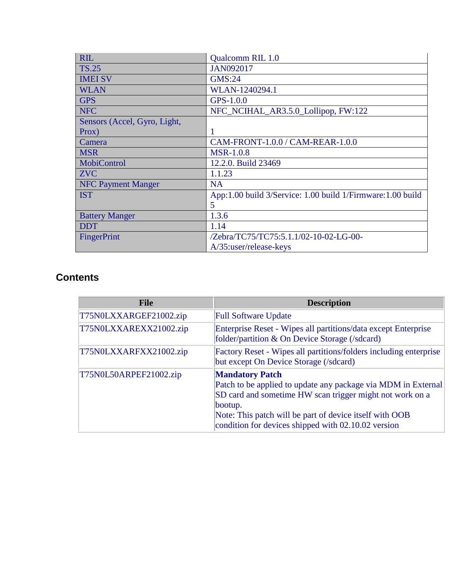| <b>RIL</b>                   | <b>Qualcomm RIL 1.0</b>                                     |
|------------------------------|-------------------------------------------------------------|
| <b>TS.25</b>                 | <b>JAN092017</b>                                            |
| <b>IMEI SV</b>               | <b>GMS:24</b>                                               |
| <b>WLAN</b>                  | WLAN-1240294.1                                              |
| <b>GPS</b>                   | $GPS-1.0.0$                                                 |
| <b>NFC</b>                   | NFC_NCIHAL_AR3.5.0_Lollipop, FW:122                         |
| Sensors (Accel, Gyro, Light, |                                                             |
| Prox)                        |                                                             |
| Camera                       | CAM-FRONT-1.0.0 / CAM-REAR-1.0.0                            |
| <b>MSR</b>                   | <b>MSR-1.0.8</b>                                            |
| MobiControl                  | 12.2.0. Build 23469                                         |
| <b>ZVC</b>                   | 1.1.23                                                      |
| <b>NFC Payment Manger</b>    | <b>NA</b>                                                   |
| <b>IST</b>                   | App:1.00 build 3/Service: 1.00 build 1/Firmware: 1.00 build |
|                              | 5                                                           |
| <b>Battery Manger</b>        | 1.3.6                                                       |
| <b>DDT</b>                   | 1.14                                                        |
| FingerPrint                  | /Zebra/TC75/TC75:5.1.1/02-10-02-LG-00-                      |
|                              | A/35:user/release-keys                                      |

## <span id="page-3-0"></span>**Contents**

<span id="page-3-1"></span>

| <b>File</b>            | <b>Description</b>                                                                                                                                                                                                                                                               |
|------------------------|----------------------------------------------------------------------------------------------------------------------------------------------------------------------------------------------------------------------------------------------------------------------------------|
| T75N0LXXARGEF21002.zip | <b>Full Software Update</b>                                                                                                                                                                                                                                                      |
| T75N0LXXAREXX21002.zip | Enterprise Reset - Wipes all partitions/data except Enterprise<br>folder/partition & On Device Storage (/sdcard)                                                                                                                                                                 |
| T75N0LXXARFXX21002.zip | Factory Reset - Wipes all partitions/folders including enterprise<br>but except On Device Storage (/sdcard)                                                                                                                                                                      |
| T75N0L50ARPEF21002.zip | <b>Mandatory Patch</b><br>Patch to be applied to update any package via MDM in External<br>SD card and sometime HW scan trigger might not work on a<br>bootup.<br>Note: This patch will be part of device itself with OOB<br>condition for devices shipped with 02.10.02 version |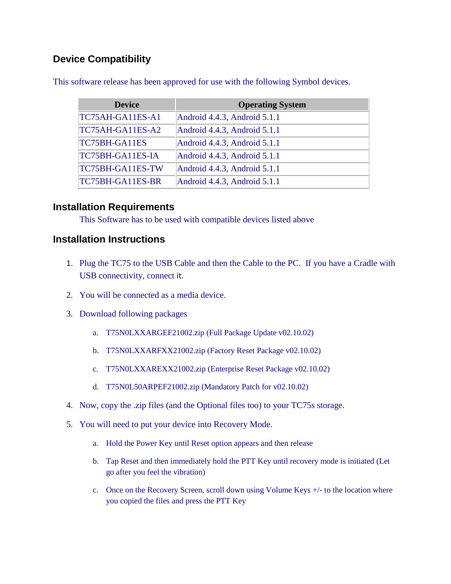## **Device Compatibility**

| <b>Device</b>           | <b>Operating System</b>      |
|-------------------------|------------------------------|
| TC75AH-GA11ES-A1        | Android 4.4.3, Android 5.1.1 |
| TC75AH-GA11ES-A2        | Android 4.4.3, Android 5.1.1 |
| TC75BH-GA11ES           | Android 4.4.3, Android 5.1.1 |
| TC75BH-GA11ES-IA        | Android 4.4.3, Android 5.1.1 |
| TC75BH-GA11ES-TW        | Android 4.4.3, Android 5.1.1 |
| <b>TC75BH-GA11ES-BR</b> | Android 4.4.3, Android 5.1.1 |

This software release has been approved for use with the following Symbol devices.

#### <span id="page-4-0"></span>**Installation Requirements**

This Software has to be used with compatible devices listed above

#### <span id="page-4-1"></span>**Installation Instructions**

- 1. Plug the TC75 to the USB Cable and then the Cable to the PC. If you have a Cradle with USB connectivity, connect it.
- 2. You will be connected as a media device.
- 3. Download following packages
	- a. T75N0LXXARGEF21002.zip (Full Package Update v02.10.02)
	- b. T75N0LXXARFXX21002.zip (Factory Reset Package v02.10.02)
	- c. T75N0LXXAREXX21002.zip (Enterprise Reset Package v02.10.02)
	- d. T75N0L50ARPEF21002.zip (Mandatory Patch for v02.10.02)
- 4. Now, copy the .zip files (and the Optional files too) to your TC75s storage.
- 5. You will need to put your device into Recovery Mode.
	- a. Hold the Power Key until Reset option appears and then release
	- b. Tap Reset and then immediately hold the PTT Key until recovery mode is initiated (Let go after you feel the vibration)
	- c. Once on the Recovery Screen, scroll down using Volume Keys +/- to the location where you copied the files and press the PTT Key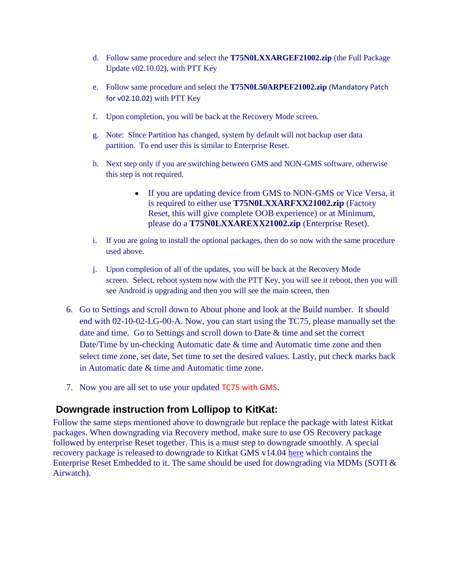- d. Follow same procedure and select the **T75N0LXXARGEF21002.zip** (the Full Package Update v02.10.02), with PTT Key
- e. Follow same procedure and select the **T75N0L50ARPEF21002.zip** (Mandatory Patch for v02.10.02) with PTT Key
- f. Upon completion, you will be back at the Recovery Mode screen.
- g. Note: Since Partition has changed, system by default will not backup user data partition. To end user this is similar to Enterprise Reset.
- h. Next step only if you are switching between GMS and NON-GMS software, otherwise this step is not required.
	- If you are updating device from GMS to NON-GMS or Vice Versa, it is required to either use **T75N0LXXARFXX21002.zip** (Factory Reset, this will give complete OOB experience) or at Minimum, please do a **T75N0LXXAREXX21002.zip** (Enterprise Reset).
- i. If you are going to install the optional packages, then do so now with the same procedure used above.
- j. Upon completion of all of the updates, you will be back at the Recovery Mode screen. Select, reboot system now with the PTT Key, you will see it reboot, then you will see Android is upgrading and then you will see the main screen, then
- 6. Go to Settings and scroll down to About phone and look at the Build number. It should end with 02-10-02-LG-00-A. Now, you can start using the TC75, please manually set the date and time. Go to Settings and scroll down to Date & time and set the correct Date/Time by un-checking Automatic date & time and Automatic time zone and then select time zone, set date, Set time to set the desired values. Lastly, put check marks back in Automatic date & time and Automatic time zone.
- 7. Now you are all set to use your updated TC75 with GMS.

#### **Downgrade instruction from Lollipop to KitKat:**

Follow the same steps mentioned above to downgrade but replace the package with latest Kitkat packages. When downgrading via Recovery method, make sure to use OS Recovery package followed by enterprise Reset together. This is a must step to downgrade smoothly. A special recovery package is released to downgrade to Kitkat GMS v14.04 [here](https://www.zebra.com/content/dam/zebra_new_ia/en-us/software/operating-system/TC75%20Operating%20System/T75N0KEXARDEF01404.zip) which contains the Enterprise Reset Embedded to it. The same should be used for downgrading via MDMs (SOTI & Airwatch).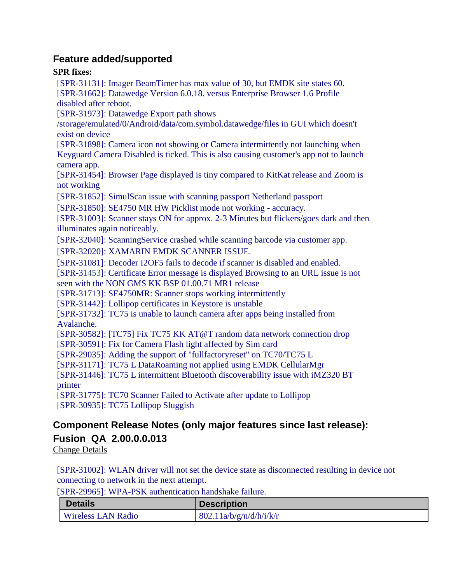#### **Feature added/supported**

#### **SPR fixes:**

[SPR-31131]: Imager BeamTimer has max value of 30, but EMDK site states 60. [SPR-31662]: Datawedge Version 6.0.18. versus Enterprise Browser 1.6 Profile disabled after reboot.

[SPR-31973]: Datawedge Export path shows

/storage/emulated/0/Android/data/com.symbol.datawedge/files in GUI which doesn't exist on device

[SPR-31898]: Camera icon not showing or Camera intermittently not launching when Keyguard Camera Disabled is ticked. This is also causing customer's app not to launch camera app.

[SPR-31454]: Browser Page displayed is tiny compared to KitKat release and Zoom is not working

[SPR-31852]: SimulScan issue with scanning passport Netherland passport

[SPR-31850]: SE4750 MR HW Picklist mode not working - accuracy.

[SPR-31003]: Scanner stays ON for approx. 2-3 Minutes but flickers/goes dark and then illuminates again noticeably.

[SPR-32040]: ScanningService crashed while scanning barcode via customer app.

[SPR-32020]: XAMARIN EMDK SCANNER ISSUE.

[SPR-31081]: Decoder I2OF5 fails to decode if scanner is disabled and enabled.

[SPR-31453]: Certificate Error message is displayed Browsing to an URL issue is not seen with the NON GMS KK BSP 01.00.71 MR1 release

[SPR-31713]: SE4750MR: Scanner stops working intermittently

[SPR-31442]: Lollipop certificates in Keystore is unstable

[SPR-31732]: TC75 is unable to launch camera after apps being installed from Avalanche.

[SPR-30582]: [TC75] Fix TC75 KK AT@T random data network connection drop

[SPR-30591]: Fix for Camera Flash light affected by Sim card

[SPR-29035]: Adding the support of "fullfactoryreset" on TC70/TC75 L

[SPR-31171]: TC75 L DataRoaming not applied using EMDK CellularMgr

[SPR-31446]: TC75 L intermittent Bluetooth discoverability issue with iMZ320 BT printer

[SPR-31775]: TC70 Scanner Failed to Activate after update to Lollipop [SPR-30935]: TC75 Lollipop Sluggish

## <span id="page-6-0"></span>**Component Release Notes (only major features since last release): Fusion\_QA\_2.00.0.0.013**

Change Details

[SPR-31002]: WLAN driver will not set the device state as disconnected resulting in device not connecting to network in the next attempt.

[SPR-29965]: WPA-PSK authentication handshake failure.

| <b>Details</b>            | <b>Description</b>      |
|---------------------------|-------------------------|
| <b>Wireless LAN Radio</b> | 802.11a/b/g/n/d/h/i/k/r |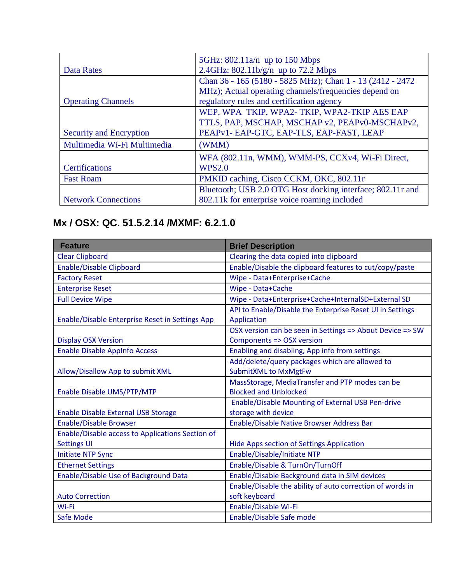|                             | 5GHz: $802.11a/n$ up to 150 Mbps                           |
|-----------------------------|------------------------------------------------------------|
| Data Rates                  | 2.4GHz: $802.11b/g/n$ up to 72.2 Mbps                      |
|                             | Chan 36 - 165 (5180 - 5825 MHz); Chan 1 - 13 (2412 - 2472) |
|                             | MHz); Actual operating channels/frequencies depend on      |
| <b>Operating Channels</b>   | regulatory rules and certification agency                  |
|                             | WEP, WPA TKIP, WPA2-TKIP, WPA2-TKIP AES EAP                |
|                             | TTLS, PAP, MSCHAP, MSCHAP v2, PEAPv0-MSCHAPv2,             |
| Security and Encryption     | PEAPv1- EAP-GTC, EAP-TLS, EAP-FAST, LEAP                   |
| Multimedia Wi-Fi Multimedia | (WMM)                                                      |
|                             | WFA (802.11n, WMM), WMM-PS, CCXv4, Wi-Fi Direct,           |
| Certifications              | <b>WPS2.0</b>                                              |
| <b>Fast Roam</b>            | PMKID caching, Cisco CCKM, OKC, 802.11r                    |
|                             | Bluetooth; USB 2.0 OTG Host docking interface; 802.11r and |
| <b>Network Connections</b>  | 802.11k for enterprise voice roaming included              |

## **Mx / OSX: QC. 51.5.2.14 /MXMF: 6.2.1.0**

| <b>Feature</b>                                   | <b>Brief Description</b>                                                 |
|--------------------------------------------------|--------------------------------------------------------------------------|
| <b>Clear Clipboard</b>                           | Clearing the data copied into clipboard                                  |
| <b>Enable/Disable Clipboard</b>                  | Enable/Disable the clipboard features to cut/copy/paste                  |
| <b>Factory Reset</b>                             | Wipe - Data+Enterprise+Cache                                             |
| <b>Enterprise Reset</b>                          | Wipe - Data+Cache                                                        |
| <b>Full Device Wipe</b>                          | Wipe - Data+Enterprise+Cache+InternalSD+External SD                      |
| Enable/Disable Enterprise Reset in Settings App  | API to Enable/Disable the Enterprise Reset UI in Settings<br>Application |
|                                                  | OSX version can be seen in Settings => About Device => SW                |
| <b>Display OSX Version</b>                       | Components => OSX version                                                |
| <b>Enable Disable AppInfo Access</b>             | Enabling and disabling, App info from settings                           |
|                                                  | Add/delete/query packages which are allowed to                           |
| Allow/Disallow App to submit XML                 | <b>SubmitXML to MxMgtFw</b>                                              |
|                                                  | MassStorage, MediaTransfer and PTP modes can be                          |
| Enable Disable UMS/PTP/MTP                       | <b>Blocked and Unblocked</b>                                             |
|                                                  | <b>Enable/Disable Mounting of External USB Pen-drive</b>                 |
| Enable Disable External USB Storage              | storage with device                                                      |
| <b>Enable/Disable Browser</b>                    | Enable/Disable Native Browser Address Bar                                |
| Enable/Disable access to Applications Section of |                                                                          |
| <b>Settings UI</b>                               | Hide Apps section of Settings Application                                |
| <b>Initiate NTP Sync</b>                         | Enable/Disable/Initiate NTP                                              |
| <b>Ethernet Settings</b>                         | Enable/Disable & TurnOn/TurnOff                                          |
| Enable/Disable Use of Background Data            | Enable/Disable Background data in SIM devices                            |
|                                                  | Enable/Disable the ability of auto correction of words in                |
| <b>Auto Correction</b>                           | soft keyboard                                                            |
| Wi-Fi                                            | Enable/Disable Wi-Fi                                                     |
| Safe Mode                                        | Enable/Disable Safe mode                                                 |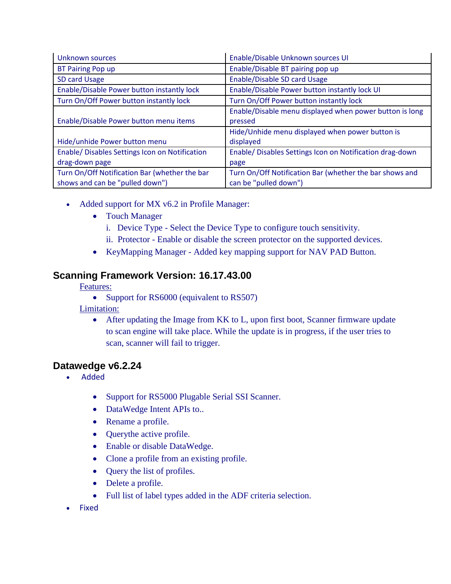| Unknown sources                                | Enable/Disable Unknown sources UI                        |
|------------------------------------------------|----------------------------------------------------------|
| <b>BT Pairing Pop up</b>                       | Enable/Disable BT pairing pop up                         |
| SD card Usage                                  | Enable/Disable SD card Usage                             |
| Enable/Disable Power button instantly lock     | Enable/Disable Power button instantly lock UI            |
| Turn On/Off Power button instantly lock        | Turn On/Off Power button instantly lock                  |
|                                                | Enable/Disable menu displayed when power button is long  |
| Enable/Disable Power button menu items         | pressed                                                  |
|                                                | Hide/Unhide menu displayed when power button is          |
| Hide/unhide Power button menu                  | displayed                                                |
| Enable/ Disables Settings Icon on Notification | Enable/ Disables Settings Icon on Notification drag-down |
| drag-down page                                 | page                                                     |
| Turn On/Off Notification Bar (whether the bar  | Turn On/Off Notification Bar (whether the bar shows and  |
| shows and can be "pulled down")                | can be "pulled down")                                    |

- Added support for MX v6.2 in Profile Manager:
	- Touch Manager
		- i. Device Type Select the Device Type to configure touch sensitivity.
		- ii. Protector Enable or disable the screen protector on the supported devices.
	- KeyMapping Manager Added key mapping support for NAV PAD Button.

#### **Scanning Framework Version: 16.17.43.00**

Features:

• Support for RS6000 (equivalent to RS507)

Limitation:

• After updating the Image from KK to L, upon first boot, Scanner firmware update to scan engine will take place. While the update is in progress, if the user tries to scan, scanner will fail to trigger.

#### **Datawedge v6.2.24**

- Added
	- Support for RS5000 Plugable Serial SSI Scanner.
	- DataWedge Intent APIs to..
	- Rename a profile.
	- Querythe active profile.
	- Enable or disable DataWedge.
	- Clone a profile from an existing profile.
	- Query the list of profiles.
	- Delete a profile.
	- Full list of label types added in the ADF criteria selection.
- Fixed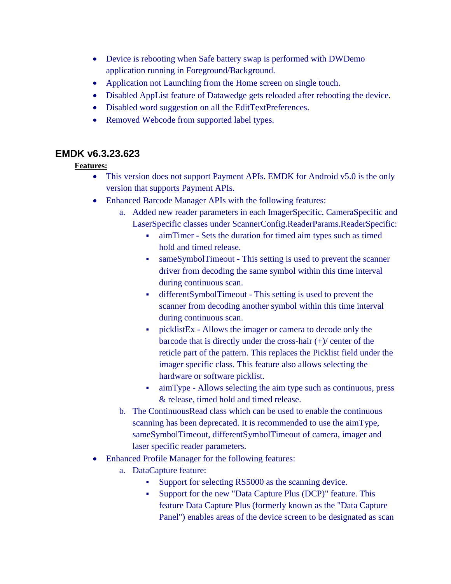- Device is rebooting when Safe battery swap is performed with DWDemo application running in Foreground/Background.
- Application not Launching from the Home screen on single touch.
- Disabled AppList feature of Datawedge gets reloaded after rebooting the device.
- Disabled word suggestion on all the EditTextPreferences.
- Removed Webcode from supported label types.

## **EMDK v6.3.23.623**

#### **Features:**

- This version does not support Payment APIs. EMDK for Android v5.0 is the only version that supports Payment APIs.
- Enhanced Barcode Manager APIs with the following features:
	- a. Added new reader parameters in each ImagerSpecific, CameraSpecific and LaserSpecific classes under ScannerConfig.ReaderParams.ReaderSpecific:
		- aimTimer Sets the duration for timed aim types such as timed hold and timed release.
		- sameSymbolTimeout This setting is used to prevent the scanner driver from decoding the same symbol within this time interval during continuous scan.
		- differentSymbolTimeout This setting is used to prevent the scanner from decoding another symbol within this time interval during continuous scan.
		- picklistEx Allows the imager or camera to decode only the barcode that is directly under the cross-hair (+)/ center of the reticle part of the pattern. This replaces the Picklist field under the imager specific class. This feature also allows selecting the hardware or software picklist.
		- aimType Allows selecting the aim type such as continuous, press & release, timed hold and timed release.
	- b. The ContinuousRead class which can be used to enable the continuous scanning has been deprecated. It is recommended to use the aimType, sameSymbolTimeout, differentSymbolTimeout of camera, imager and laser specific reader parameters.
- Enhanced Profile Manager for the following features:
	- a. DataCapture feature:
		- Support for selecting RS5000 as the scanning device.
		- Support for the new "Data Capture Plus (DCP)" feature. This feature Data Capture Plus (formerly known as the "Data Capture Panel") enables areas of the device screen to be designated as scan